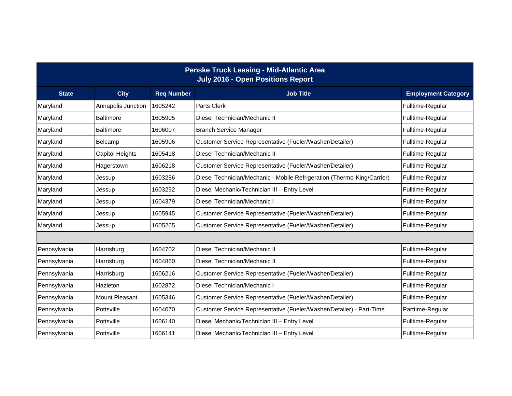|              |                        |                   | <b>Penske Truck Leasing - Mid-Atlantic Area</b><br><b>July 2016 - Open Positions Report</b> |                            |  |  |  |
|--------------|------------------------|-------------------|---------------------------------------------------------------------------------------------|----------------------------|--|--|--|
| <b>State</b> | <b>City</b>            | <b>Req Number</b> | <b>Job Title</b>                                                                            | <b>Employment Category</b> |  |  |  |
| Maryland     | Annapolis Junction     | 1605242           | Parts Clerk                                                                                 | Fulltime-Regular           |  |  |  |
| Maryland     | <b>Baltimore</b>       | 1605905           | Diesel Technician/Mechanic II                                                               | Fulltime-Regular           |  |  |  |
| Maryland     | Baltimore              | 1606007           | <b>Branch Service Manager</b>                                                               | Fulltime-Regular           |  |  |  |
| Maryland     | Belcamp                | 1605906           | Customer Service Representative (Fueler/Washer/Detailer)                                    | Fulltime-Regular           |  |  |  |
| Maryland     | <b>Capitol Heights</b> | 1605418           | Diesel Technician/Mechanic II                                                               | Fulltime-Regular           |  |  |  |
| Maryland     | Hagerstown             | 1606218           | Customer Service Representative (Fueler/Washer/Detailer)                                    | Fulltime-Regular           |  |  |  |
| Maryland     | Jessup                 | 1603286           | Diesel Technician/Mechanic - Mobile Refrigeration (Thermo-King/Carrier)                     | Fulltime-Regular           |  |  |  |
| Maryland     | Jessup                 | 1603292           | Diesel Mechanic/Technician III - Entry Level                                                | Fulltime-Regular           |  |  |  |
| Maryland     | Jessup                 | 1604379           | Diesel Technician/Mechanic I                                                                | Fulltime-Regular           |  |  |  |
| Maryland     | Jessup                 | 1605945           | Customer Service Representative (Fueler/Washer/Detailer)                                    | Fulltime-Regular           |  |  |  |
| Maryland     | Jessup                 | 1605265           | Customer Service Representative (Fueler/Washer/Detailer)                                    | Fulltime-Regular           |  |  |  |
|              |                        |                   |                                                                                             |                            |  |  |  |
| Pennsylvania | Harrisburg             | 1604702           | Diesel Technician/Mechanic II                                                               | Fulltime-Regular           |  |  |  |
| Pennsylvania | Harrisburg             | 1604860           | Diesel Technician/Mechanic II                                                               | Fulltime-Regular           |  |  |  |
| Pennsylvania | Harrisburg             | 1606216           | Customer Service Representative (Fueler/Washer/Detailer)                                    | Fulltime-Regular           |  |  |  |
| Pennsylvania | Hazleton               | 1602872           | Diesel Technician/Mechanic I                                                                | Fulltime-Regular           |  |  |  |
| Pennsylvania | Mount Pleasant         | 1605346           | Customer Service Representative (Fueler/Washer/Detailer)                                    | Fulltime-Regular           |  |  |  |
| Pennsylvania | Pottsville             | 1604070           | Customer Service Representative (Fueler/Washer/Detailer) - Part-Time                        | Parttime-Regular           |  |  |  |
| Pennsylvania | Pottsville             | 1606140           | Diesel Mechanic/Technician III - Entry Level                                                | Fulltime-Regular           |  |  |  |
| Pennsylvania | Pottsville             | 1606141           | Diesel Mechanic/Technician III - Entry Level                                                | Fulltime-Regular           |  |  |  |